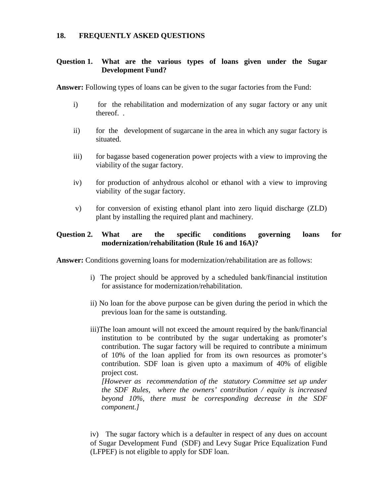#### **18. FREQUENTLY ASKED QUESTIONS**

# **Question 1. What are the various types of loans given under the Sugar Development Fund?**

**Answer:** Following types of loans can be given to the sugar factories from the Fund:

- i) for the rehabilitation and modernization of any sugar factory or any unit thereof. .
- ii) for the development of sugarcane in the area in which any sugar factory is situated.
- iii) for bagasse based cogeneration power projects with a view to improving the viability of the sugar factory.
- iv) for production of anhydrous alcohol or ethanol with a view to improving viability of the sugar factory.
- v) for conversion of existing ethanol plant into zero liquid discharge (ZLD) plant by installing the required plant and machinery.

# **Question 2. What are the specific conditions governing loans for modernization/rehabilitation (Rule 16 and 16A)?**

**Answer:** Conditions governing loans for modernization/rehabilitation are as follows:

- i) The project should be approved by a scheduled bank/financial institution for assistance for modernization/rehabilitation.
- ii) No loan for the above purpose can be given during the period in which the previous loan for the same is outstanding.
- iii)The loan amount will not exceed the amount required by the bank/financial institution to be contributed by the sugar undertaking as promoter's contribution. The sugar factory will be required to contribute a minimum of 10% of the loan applied for from its own resources as promoter's contribution. SDF loan is given upto a maximum of 40% of eligible project cost.

*[However as recommendation of the statutory Committee set up under the SDF Rules, where the owners' contribution / equity is increased beyond 10%, there must be corresponding decrease in the SDF component.]*

iv) The sugar factory which is a defaulter in respect of any dues on account of Sugar Development Fund (SDF) and Levy Sugar Price Equalization Fund (LFPEF) is not eligible to apply for SDF loan.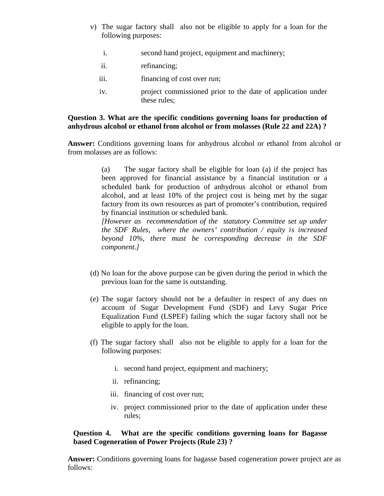- v) The sugar factory shall also not be eligible to apply for a loan for the following purposes:
	- i. second hand project, equipment and machinery;
	- ii. refinancing;
	- iii. financing of cost over run;
	- iv. project commissioned prior to the date of application under these rules;

# **Question 3. What are the specific conditions governing loans for production of anhydrous alcohol or ethanol from alcohol or from molasses (Rule 22 and 22A) ?**

**Answer:** Conditions governing loans for anhydrous alcohol or ethanol from alcohol or from molasses are as follows:

> (a) The sugar factory shall be eligible for loan (a) if the project has been approved for financial assistance by a financial institution or a scheduled bank for production of anhydrous alcohol or ethanol from alcohol, and at least 10% of the project cost is being met by the sugar factory from its own resources as part of promoter's contribution, required by financial institution or scheduled bank.

> *[However as recommendation of the statutory Committee set up under the SDF Rules, where the owners' contribution / equity is increased beyond 10%, there must be corresponding decrease in the SDF component.]*

- (d) No loan for the above purpose can be given during the period in which the previous loan for the same is outstanding.
- (e) The sugar factory should not be a defaulter in respect of any dues on account of Sugar Development Fund (SDF) and Levy Sugar Price Equalization Fund (LSPEF) failing which the sugar factory shall not be eligible to apply for the loan.
- (f) The sugar factory shall also not be eligible to apply for a loan for the following purposes:
	- i. second hand project, equipment and machinery;
	- ii. refinancing;
	- iii. financing of cost over run;
	- iv. project commissioned prior to the date of application under these rules;

# **Question 4. What are the specific conditions governing loans for Bagasse based Cogeneration of Power Projects (Rule 23) ?**

**Answer:** Conditions governing loans for bagasse based cogeneration power project are as follows: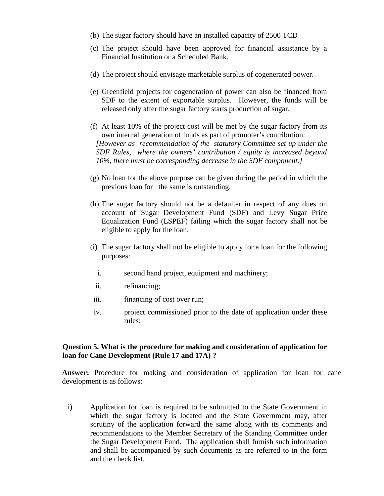- (b) The sugar factory should have an installed capacity of 2500 TCD
- (c) The project should have been approved for financial assistance by a Financial Institution or a Scheduled Bank.
- (d) The project should envisage marketable surplus of cogenerated power.
- (e) Greenfield projects for cogeneration of power can also be financed from SDF to the extent of exportable surplus. However, the funds will be released only after the sugar factory starts production of sugar.
- (f) At least 10% of the project cost will be met by the sugar factory from its own internal generation of funds as part of promoter's contribution. *[However as recommendation of the statutory Committee set up under the SDF Rules, where the owners' contribution / equity is increased beyond 10%, there must be corresponding decrease in the SDF component.]*
- (g) No loan for the above purpose can be given during the period in which the previous loan for the same is outstanding.
- (h) The sugar factory should not be a defaulter in respect of any dues on account of Sugar Development Fund (SDF) and Levy Sugar Price Equalization Fund (LSPEF) failing which the sugar factory shall not be eligible to apply for the loan.
- (i) The sugar factory shall not be eligible to apply for a loan for the following purposes:
	- i. second hand project, equipment and machinery;
	- ii. refinancing;
- iii. financing of cost over run;
- iv. project commissioned prior to the date of application under these rules;

#### **Question 5. What is the procedure for making and consideration of application for loan for Cane Development (Rule 17 and 17A) ?**

**Answer:** Procedure for making and consideration of application for loan for cane development is as follows:

i) Application for loan is required to be submitted to the State Government in which the sugar factory is located and the State Government may, after scrutiny of the application forward the same along with its comments and recommendations to the Member Secretary of the Standing Committee under the Sugar Development Fund. The application shall furnish such information and shall be accompanied by such documents as are referred to in the form and the check list.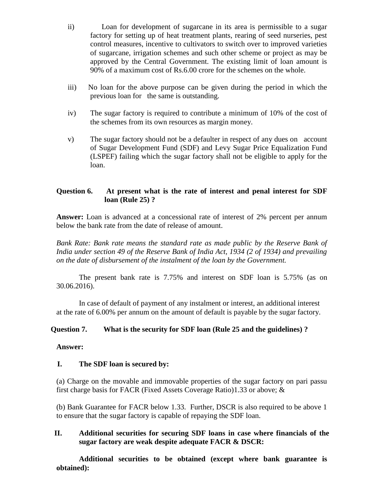- ii) Loan for development of sugarcane in its area is permissible to a sugar factory for setting up of heat treatment plants, rearing of seed nurseries, pest control measures, incentive to cultivators to switch over to improved varieties of sugarcane, irrigation schemes and such other scheme or project as may be approved by the Central Government. The existing limit of loan amount is 90% of a maximum cost of Rs.6.00 crore for the schemes on the whole.
- iii) No loan for the above purpose can be given during the period in which the previous loan for the same is outstanding.
- iv) The sugar factory is required to contribute a minimum of 10% of the cost of the schemes from its own resources as margin money.
- v) The sugar factory should not be a defaulter in respect of any dues on account of Sugar Development Fund (SDF) and Levy Sugar Price Equalization Fund (LSPEF) failing which the sugar factory shall not be eligible to apply for the loan.

# **Question 6. At present what is the rate of interest and penal interest for SDF loan (Rule 25) ?**

**Answer:** Loan is advanced at a concessional rate of interest of 2% percent per annum below the bank rate from the date of release of amount.

*Bank Rate: Bank rate means the standard rate as made public by the Reserve Bank of India under section 49 of the Reserve Bank of India Act, 1934 (2 of 1934) and prevailing on the date of disbursement of the instalment of the loan by the Government.*

The present bank rate is 7.75% and interest on SDF loan is 5.75% (as on 30.06.2016).

In case of default of payment of any instalment or interest, an additional interest at the rate of 6.00% per annum on the amount of default is payable by the sugar factory.

# **Question 7. What is the security for SDF loan (Rule 25 and the guidelines) ?**

### **Answer:**

# **I. The SDF loan is secured by:**

(a) Charge on the movable and immovable properties of the sugar factory on pari passu first charge basis for FACR (Fixed Assets Coverage Ratio)1.33 or above; &

(b) Bank Guarantee for FACR below 1.33. Further, DSCR is also required to be above 1 to ensure that the sugar factory is capable of repaying the SDF loan.

# **II. Additional securities for securing SDF loans in case where financials of the sugar factory are weak despite adequate FACR & DSCR:**

**Additional securities to be obtained (except where bank guarantee is obtained):**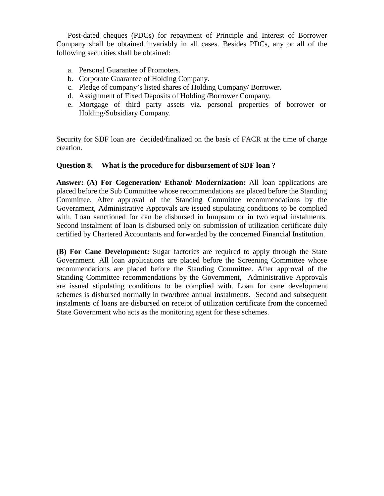Post-dated cheques (PDCs) for repayment of Principle and Interest of Borrower Company shall be obtained invariably in all cases. Besides PDCs, any or all of the following securities shall be obtained:

- a. Personal Guarantee of Promoters.
- b. Corporate Guarantee of Holding Company.
- c. Pledge of company's listed shares of Holding Company/ Borrower.
- d. Assignment of Fixed Deposits of Holding /Borrower Company.
- e. Mortgage of third party assets viz. personal properties of borrower or Holding/Subsidiary Company.

Security for SDF loan are decided/finalized on the basis of FACR at the time of charge creation.

### **Question 8. What is the procedure for disbursement of SDF loan ?**

**Answer: (A) For Cogeneration/ Ethanol/ Modernization:** All loan applications are placed before the Sub Committee whose recommendations are placed before the Standing Committee. After approval of the Standing Committee recommendations by the Government, Administrative Approvals are issued stipulating conditions to be complied with. Loan sanctioned for can be disbursed in lumpsum or in two equal instalments. Second instalment of loan is disbursed only on submission of utilization certificate duly certified by Chartered Accountants and forwarded by the concerned Financial Institution.

**(B) For Cane Development:** Sugar factories are required to apply through the State Government. All loan applications are placed before the Screening Committee whose recommendations are placed before the Standing Committee. After approval of the Standing Committee recommendations by the Government, Administrative Approvals are issued stipulating conditions to be complied with. Loan for cane development schemes is disbursed normally in two/three annual instalments. Second and subsequent instalments of loans are disbursed on receipt of utilization certificate from the concerned State Government who acts as the monitoring agent for these schemes.